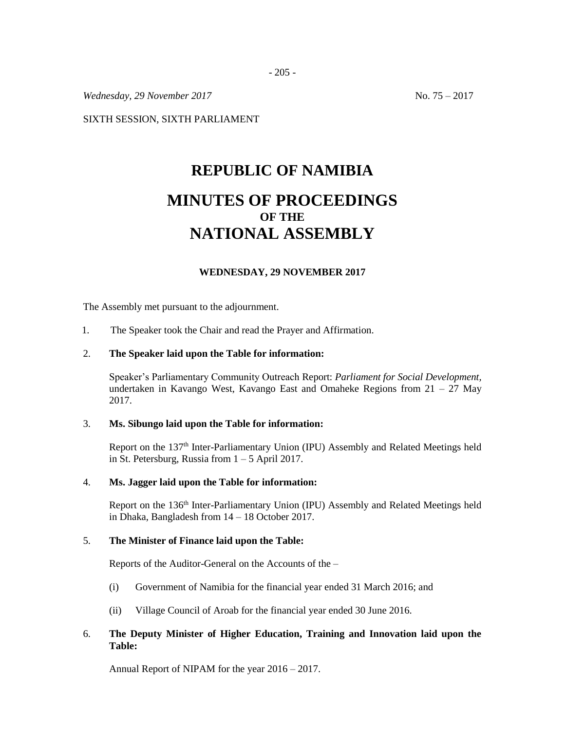*Wednesday, 29 November 2017* No. 75 – 2017

SIXTH SESSION, SIXTH PARLIAMENT

# **REPUBLIC OF NAMIBIA**

# **MINUTES OF PROCEEDINGS OF THE NATIONAL ASSEMBLY**

#### **WEDNESDAY, 29 NOVEMBER 2017**

The Assembly met pursuant to the adjournment.

1. The Speaker took the Chair and read the Prayer and Affirmation.

#### 2. **The Speaker laid upon the Table for information:**

Speaker's Parliamentary Community Outreach Report: *Parliament for Social Development,*  undertaken in Kavango West, Kavango East and Omaheke Regions from  $21 - 27$  May 2017.

#### 3. **Ms. Sibungo laid upon the Table for information:**

Report on the 137<sup>th</sup> Inter-Parliamentary Union (IPU) Assembly and Related Meetings held in St. Petersburg, Russia from  $1 - 5$  April 2017.

#### 4. **Ms. Jagger laid upon the Table for information:**

Report on the 136<sup>th</sup> Inter-Parliamentary Union (IPU) Assembly and Related Meetings held in Dhaka, Bangladesh from 14 – 18 October 2017.

# 5. **The Minister of Finance laid upon the Table:**

Reports of the Auditor-General on the Accounts of the –

- (i) Government of Namibia for the financial year ended 31 March 2016; and
- (ii) Village Council of Aroab for the financial year ended 30 June 2016.

# 6. **The Deputy Minister of Higher Education, Training and Innovation laid upon the Table:**

Annual Report of NIPAM for the year 2016 – 2017.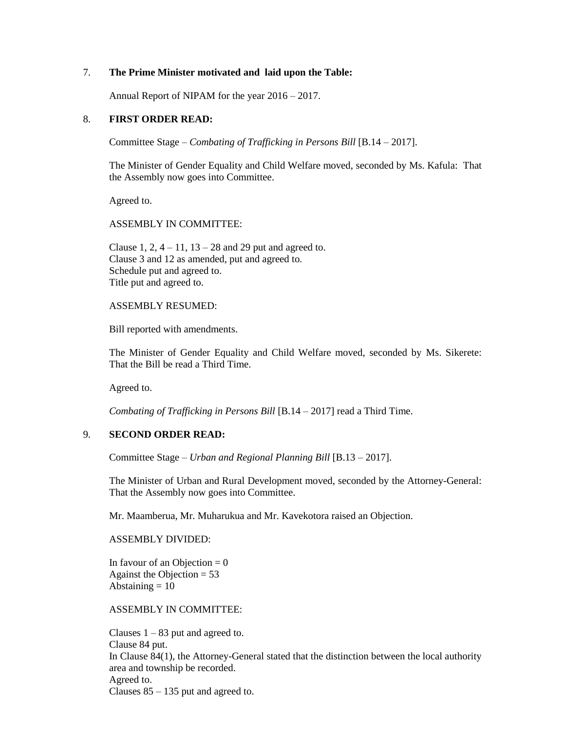#### 7. **The Prime Minister motivated and laid upon the Table:**

Annual Report of NIPAM for the year 2016 – 2017.

### 8. **FIRST ORDER READ:**

Committee Stage – *Combating of Trafficking in Persons Bill* [B.14 – 2017].

The Minister of Gender Equality and Child Welfare moved, seconded by Ms. Kafula: That the Assembly now goes into Committee.

Agreed to.

#### ASSEMBLY IN COMMITTEE:

Clause 1, 2,  $4 - 11$ ,  $13 - 28$  and 29 put and agreed to. Clause 3 and 12 as amended, put and agreed to. Schedule put and agreed to. Title put and agreed to.

#### ASSEMBLY RESUMED:

Bill reported with amendments.

The Minister of Gender Equality and Child Welfare moved, seconded by Ms. Sikerete: That the Bill be read a Third Time.

Agreed to.

*Combating of Trafficking in Persons Bill* [B.14 – 2017] read a Third Time.

# 9. **SECOND ORDER READ:**

Committee Stage – *Urban and Regional Planning Bill* [B.13 – 2017].

The Minister of Urban and Rural Development moved, seconded by the Attorney-General: That the Assembly now goes into Committee.

Mr. Maamberua, Mr. Muharukua and Mr. Kavekotora raised an Objection.

ASSEMBLY DIVIDED:

In favour of an Objection  $= 0$ Against the Objection  $= 53$ Abstaining  $= 10$ 

ASSEMBLY IN COMMITTEE:

Clauses  $1 - 83$  put and agreed to. Clause 84 put. In Clause 84(1), the Attorney-General stated that the distinction between the local authority area and township be recorded. Agreed to. Clauses  $85 - 135$  put and agreed to.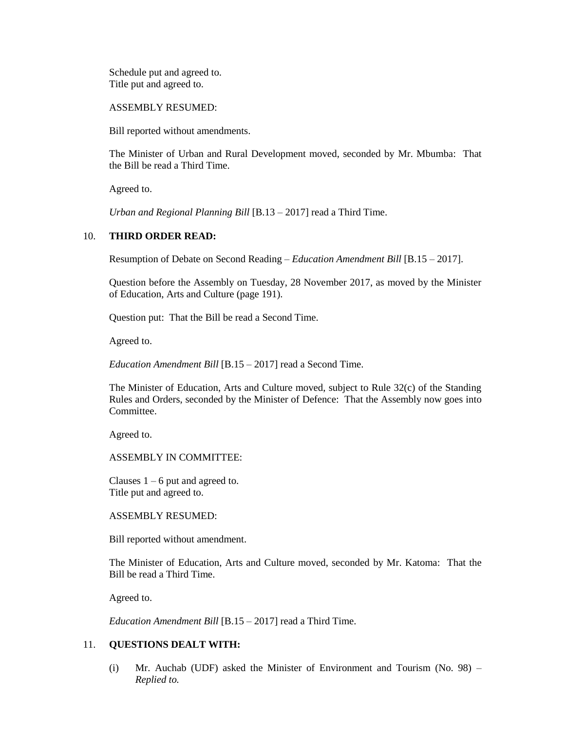Schedule put and agreed to. Title put and agreed to.

ASSEMBLY RESUMED:

Bill reported without amendments.

The Minister of Urban and Rural Development moved, seconded by Mr. Mbumba: That the Bill be read a Third Time.

Agreed to.

*Urban and Regional Planning Bill* [B.13 – 2017] read a Third Time.

# 10. **THIRD ORDER READ:**

Resumption of Debate on Second Reading – *Education Amendment Bill* [B.15 – 2017].

Question before the Assembly on Tuesday, 28 November 2017, as moved by the Minister of Education, Arts and Culture (page 191).

Question put: That the Bill be read a Second Time.

Agreed to.

*Education Amendment Bill* [B.15 – 2017] read a Second Time.

The Minister of Education, Arts and Culture moved, subject to Rule 32(c) of the Standing Rules and Orders, seconded by the Minister of Defence: That the Assembly now goes into Committee.

Agreed to.

ASSEMBLY IN COMMITTEE:

Clauses  $1 - 6$  put and agreed to. Title put and agreed to.

ASSEMBLY RESUMED:

Bill reported without amendment.

The Minister of Education, Arts and Culture moved, seconded by Mr. Katoma: That the Bill be read a Third Time.

Agreed to.

*Education Amendment Bill* [B.15 – 2017] read a Third Time.

# 11. **QUESTIONS DEALT WITH:**

(i) Mr. Auchab (UDF) asked the Minister of Environment and Tourism (No. 98) – *Replied to.*